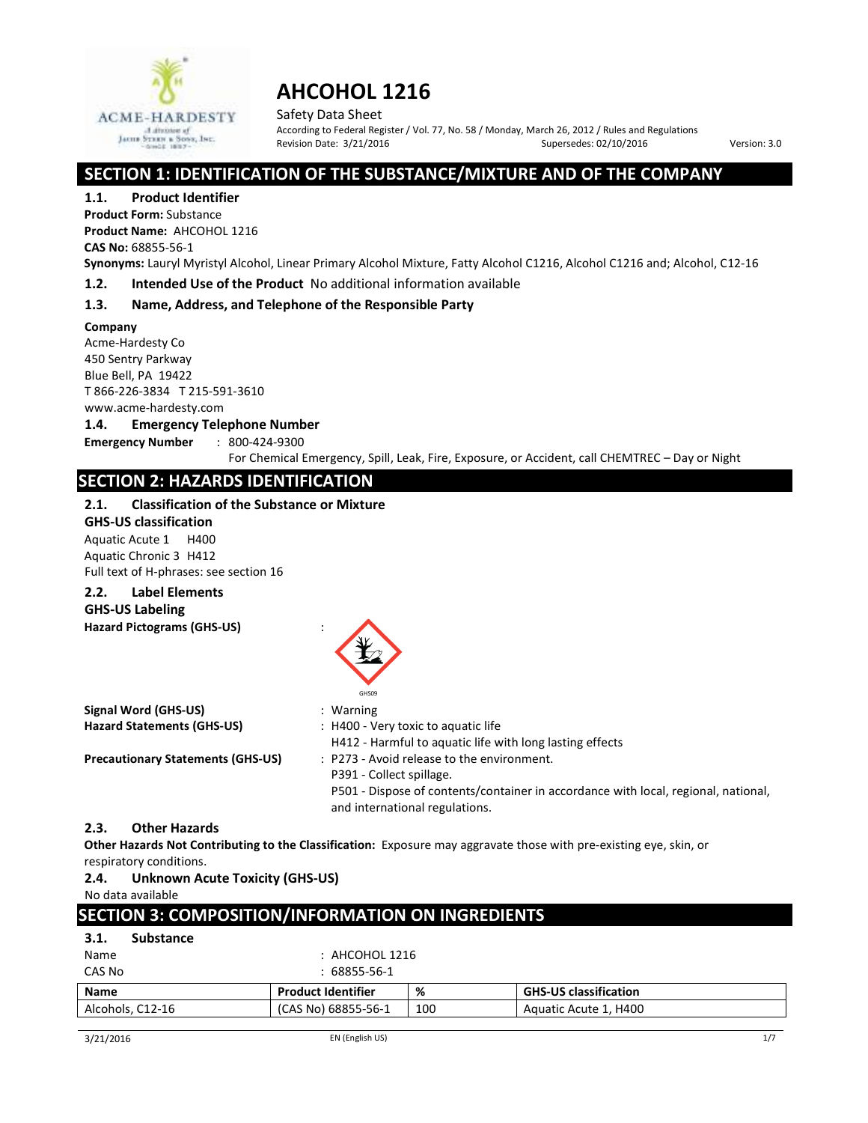

Safety Data Sheet According to Federal Register / Vol. 77, No. 58 / Monday, March 26, 2012 / Rules and Regulations Revision Date:  $3/21/2016$  Supersedes:  $02/10/2016$  Version: 3.0

# **SECTION 1: IDENTIFICATION OF THE SUBSTANCE/MIXTURE AND OF THE COMPANY**

**1.1. Product Identifier**

**Product Form:** Substance **Product Name:** AHCOHOL 1216 **CAS No:** 68855-56-1

**Synonyms:** Lauryl Myristyl Alcohol, Linear Primary Alcohol Mixture, Fatty Alcohol C1216, Alcohol C1216 and; Alcohol, C12-16

**1.2. Intended Use of the Product** No additional information available

### **1.3. Name, Address, and Telephone of the Responsible Party**

**Company**  Acme-Hardesty Co 450 Sentry Parkway

Blue Bell, PA 19422 T 866-226-3834 T 215-591-3610

www.acme-hardesty.com

#### **1.4. Emergency Telephone Number**

**Emergency Number** : 800-424-9300

For Chemical Emergency, Spill, Leak, Fire, Exposure, or Accident, call CHEMTREC – Day or Night

# **SECTION 2: HAZARDS IDENTIFICATION**

#### **2.1. Classification of the Substance or Mixture**

**GHS-US classification** 

Aquatic Acute 1 H400 Aquatic Chronic 3 H412 Full text of H-phrases: see section 16

# **2.2. Label Elements**

**GHS-US Labeling** 

**Hazard Pictograms (GHS-US)** :

| 1102010 - 1005101113 19113-031           | GHS09                                                                                                                                                                                          |
|------------------------------------------|------------------------------------------------------------------------------------------------------------------------------------------------------------------------------------------------|
| Signal Word (GHS-US)                     | $:$ Warning                                                                                                                                                                                    |
| <b>Hazard Statements (GHS-US)</b>        | : H400 - Very toxic to aquatic life<br>H412 - Harmful to aquatic life with long lasting effects                                                                                                |
| <b>Precautionary Statements (GHS-US)</b> | : P273 - Avoid release to the environment.<br>P391 - Collect spillage.<br>P501 - Dispose of contents/container in accordance with local, regional, national,<br>and international regulations. |

#### **2.3. Other Hazards**

**Other Hazards Not Contributing to the Classification:** Exposure may aggravate those with pre-existing eye, skin, or respiratory conditions.

#### **2.4. Unknown Acute Toxicity (GHS-US)**

No data available

# **SECTION 3: COMPOSITION/INFORMATION ON INGREDIENTS**

| 3.1.<br><b>Substance</b> |                           |     |                              |
|--------------------------|---------------------------|-----|------------------------------|
| Name                     | $:$ AHCOHOL 1216          |     |                              |
| CAS No                   | $: 68855 - 56 - 1$        |     |                              |
| <b>Name</b>              | <b>Product Identifier</b> | %   | <b>GHS-US classification</b> |
| Alcohols, C12-16         | (CAS No) 68855-56-1       | 100 | Aquatic Acute 1, H400        |
|                          |                           |     |                              |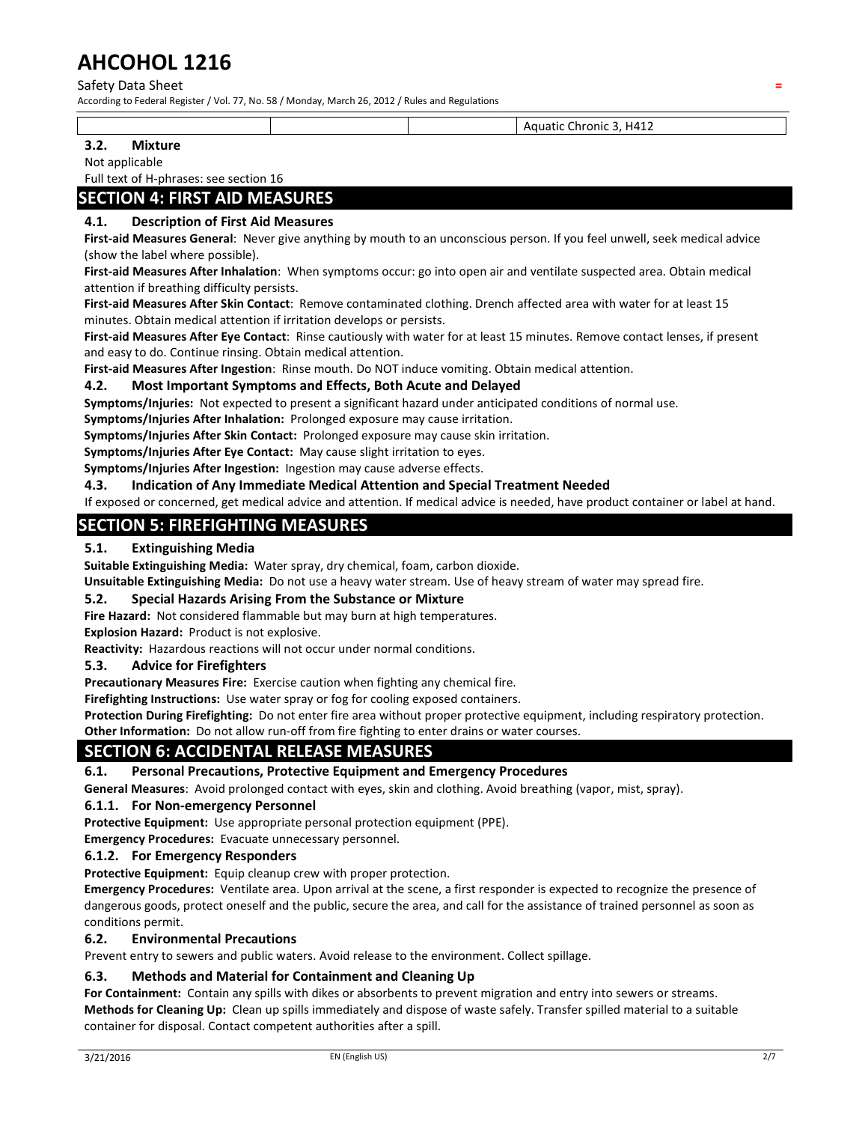#### Safety Data Sheet **=**

According to Federal Register / Vol. 77, No. 58 / Monday, March 26, 2012 / Rules and Regulations

Aquatic Chronic 3, H412

#### **3.2. Mixture**

Not applicable

Full text of H-phrases: see section 16

# **SECTION 4: FIRST AID MEASURES**

#### **4.1. Description of First Aid Measures**

**First-aid Measures General**: Never give anything by mouth to an unconscious person. If you feel unwell, seek medical advice (show the label where possible).

**First-aid Measures After Inhalation**: When symptoms occur: go into open air and ventilate suspected area. Obtain medical attention if breathing difficulty persists.

**First-aid Measures After Skin Contact**: Remove contaminated clothing. Drench affected area with water for at least 15 minutes. Obtain medical attention if irritation develops or persists.

**First-aid Measures After Eye Contact**: Rinse cautiously with water for at least 15 minutes. Remove contact lenses, if present and easy to do. Continue rinsing. Obtain medical attention.

**First-aid Measures After Ingestion**: Rinse mouth. Do NOT induce vomiting. Obtain medical attention.

#### **4.2. Most Important Symptoms and Effects, Both Acute and Delayed**

**Symptoms/Injuries:** Not expected to present a significant hazard under anticipated conditions of normal use.

**Symptoms/Injuries After Inhalation:** Prolonged exposure may cause irritation.

**Symptoms/Injuries After Skin Contact:** Prolonged exposure may cause skin irritation.

**Symptoms/Injuries After Eye Contact:** May cause slight irritation to eyes.

**Symptoms/Injuries After Ingestion:** Ingestion may cause adverse effects.

#### **4.3. Indication of Any Immediate Medical Attention and Special Treatment Needed**

If exposed or concerned, get medical advice and attention. If medical advice is needed, have product container or label at hand.

# **SECTION 5: FIREFIGHTING MEASURES**

#### **5.1. Extinguishing Media**

**Suitable Extinguishing Media:** Water spray, dry chemical, foam, carbon dioxide.

**Unsuitable Extinguishing Media:** Do not use a heavy water stream. Use of heavy stream of water may spread fire.

#### **5.2. Special Hazards Arising From the Substance or Mixture**

**Fire Hazard:** Not considered flammable but may burn at high temperatures.

**Explosion Hazard:** Product is not explosive.

**Reactivity:** Hazardous reactions will not occur under normal conditions.

#### **5.3. Advice for Firefighters**

**Precautionary Measures Fire:** Exercise caution when fighting any chemical fire.

**Firefighting Instructions:** Use water spray or fog for cooling exposed containers.

**Protection During Firefighting:** Do not enter fire area without proper protective equipment, including respiratory protection.

**Other Information:** Do not allow run-off from fire fighting to enter drains or water courses.

# **SECTION 6: ACCIDENTAL RELEASE MEASURES**

#### **6.1. Personal Precautions, Protective Equipment and Emergency Procedures**

**General Measures**: Avoid prolonged contact with eyes, skin and clothing. Avoid breathing (vapor, mist, spray).

#### **6.1.1. For Non-emergency Personnel**

**Protective Equipment:** Use appropriate personal protection equipment (PPE).

**Emergency Procedures:** Evacuate unnecessary personnel.

#### **6.1.2. For Emergency Responders**

**Protective Equipment:** Equip cleanup crew with proper protection.

**Emergency Procedures:** Ventilate area. Upon arrival at the scene, a first responder is expected to recognize the presence of dangerous goods, protect oneself and the public, secure the area, and call for the assistance of trained personnel as soon as conditions permit.

#### **6.2. Environmental Precautions**

Prevent entry to sewers and public waters. Avoid release to the environment. Collect spillage.

#### **6.3. Methods and Material for Containment and Cleaning Up**

**For Containment:** Contain any spills with dikes or absorbents to prevent migration and entry into sewers or streams. **Methods for Cleaning Up:** Clean up spills immediately and dispose of waste safely. Transfer spilled material to a suitable container for disposal. Contact competent authorities after a spill.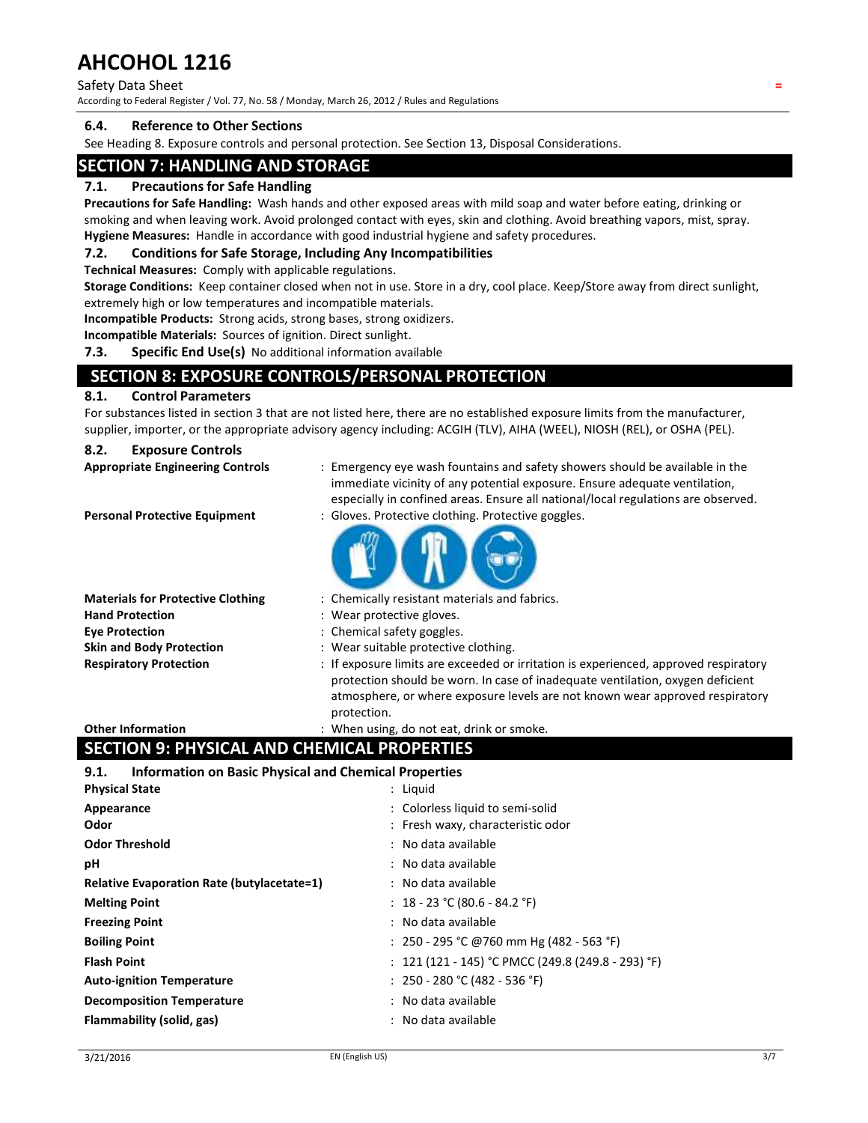#### Safety Data Sheet **=**

According to Federal Register / Vol. 77, No. 58 / Monday, March 26, 2012 / Rules and Regulations

#### **6.4. Reference to Other Sections**

See Heading 8. Exposure controls and personal protection. See Section 13, Disposal Considerations.

### **SECTION 7: HANDLING AND STORAGE**

#### **7.1. Precautions for Safe Handling**

**Precautions for Safe Handling:** Wash hands and other exposed areas with mild soap and water before eating, drinking or smoking and when leaving work. Avoid prolonged contact with eyes, skin and clothing. Avoid breathing vapors, mist, spray. **Hygiene Measures:** Handle in accordance with good industrial hygiene and safety procedures.

#### **7.2. Conditions for Safe Storage, Including Any Incompatibilities**

**Technical Measures:** Comply with applicable regulations.

**Storage Conditions:** Keep container closed when not in use. Store in a dry, cool place. Keep/Store away from direct sunlight, extremely high or low temperatures and incompatible materials.

**Incompatible Products:** Strong acids, strong bases, strong oxidizers.

**Incompatible Materials:** Sources of ignition. Direct sunlight.

**7.3. Specific End Use(s)** No additional information available

# **SECTION 8: EXPOSURE CONTROLS/PERSONAL PROTECTION**

#### **8.1. Control Parameters**

For substances listed in section 3 that are not listed here, there are no established exposure limits from the manufacturer, supplier, importer, or the appropriate advisory agency including: ACGIH (TLV), AIHA (WEEL), NIOSH (REL), or OSHA (PEL).

#### **8.2. Exposure Controls**

| <b>Appropriate Engineering Controls</b>  | : Emergency eye wash fountains and safety showers should be available in the<br>immediate vicinity of any potential exposure. Ensure adequate ventilation,<br>especially in confined areas. Ensure all national/local regulations are observed.                       |
|------------------------------------------|-----------------------------------------------------------------------------------------------------------------------------------------------------------------------------------------------------------------------------------------------------------------------|
| <b>Personal Protective Equipment</b>     | : Gloves. Protective clothing. Protective goggles.                                                                                                                                                                                                                    |
| <b>Materials for Protective Clothing</b> | : Chemically resistant materials and fabrics.                                                                                                                                                                                                                         |
| <b>Hand Protection</b>                   | : Wear protective gloves.                                                                                                                                                                                                                                             |
| <b>Eve Protection</b>                    | : Chemical safety goggles.                                                                                                                                                                                                                                            |
| <b>Skin and Body Protection</b>          | : Wear suitable protective clothing.                                                                                                                                                                                                                                  |
| <b>Respiratory Protection</b>            | : If exposure limits are exceeded or irritation is experienced, approved respiratory<br>protection should be worn. In case of inadequate ventilation, oxygen deficient<br>atmosphere, or where exposure levels are not known wear approved respiratory<br>protection. |

**Other Information included** : When using, do not eat, drink or smoke.

# **SECTION 9: PHYSICAL AND CHEMICAL PROPERTIES**

#### **9.1. Information on Basic Physical and Chemical Properties**

| <b>Physical State</b>                             | : Liguid                                           |
|---------------------------------------------------|----------------------------------------------------|
| Appearance                                        | : Colorless liquid to semi-solid                   |
| Odor                                              | : Fresh waxy, characteristic odor                  |
| <b>Odor Threshold</b>                             | : No data available                                |
| рH                                                | : No data available                                |
| <b>Relative Evaporation Rate (butylacetate=1)</b> | : No data available                                |
| <b>Melting Point</b>                              | : $18 - 23$ °C (80.6 - 84.2 °F)                    |
| <b>Freezing Point</b>                             | : No data available                                |
| <b>Boiling Point</b>                              | : 250 - 295 °C @760 mm Hg (482 - 563 °F)           |
| <b>Flash Point</b>                                | : 121 (121 - 145) °C PMCC (249.8 (249.8 - 293) °F) |
| <b>Auto-ignition Temperature</b>                  | : $250 - 280$ °C (482 - 536 °F)                    |
| <b>Decomposition Temperature</b>                  | : No data available                                |
| Flammability (solid, gas)                         | : No data available                                |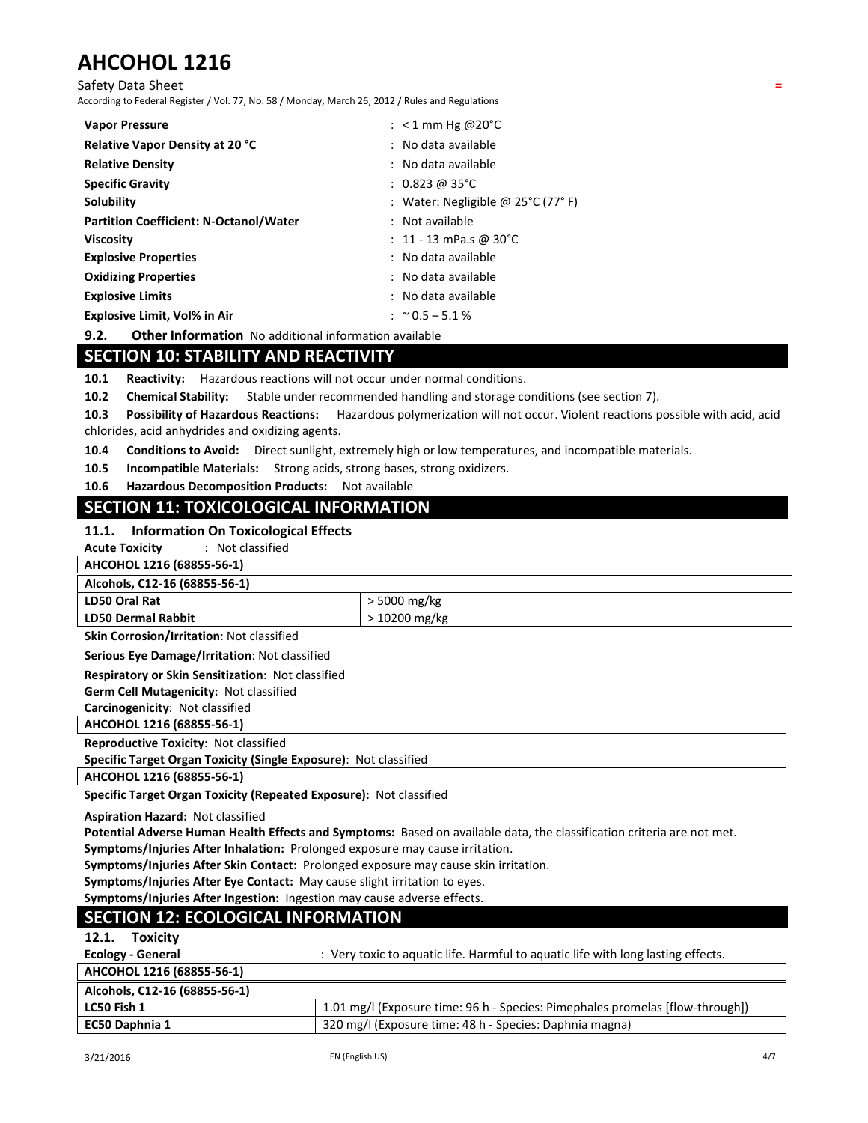Safety Data Sheet **=**

According to Federal Register / Vol. 77, No. 58 / Monday, March 26, 2012 / Rules and Regulations

| <b>Vapor Pressure</b>                         | : $< 1$ mm Hg @20°C                |
|-----------------------------------------------|------------------------------------|
| Relative Vapor Density at 20 °C               | : No data available                |
| <b>Relative Density</b>                       | : No data available                |
| <b>Specific Gravity</b>                       | $: 0.823 \text{ } @35^{\circ}C$    |
| Solubility                                    | : Water: Negligible @ 25°C (77° F) |
| <b>Partition Coefficient: N-Octanol/Water</b> | : Not available                    |
| <b>Viscosity</b>                              | : 11 - 13 mPa.s @ 30°C             |
| <b>Explosive Properties</b>                   | : No data available                |
| <b>Oxidizing Properties</b>                   | : No data available                |
| <b>Explosive Limits</b>                       | : No data available                |
| <b>Explosive Limit, Vol% in Air</b>           | : $\approx$ 0.5 – 5.1 %            |

**9.2. Other Information** No additional information available

# **SECTION 10: STABILITY AND REACTIVITY**

**10.1 Reactivity:** Hazardous reactions will not occur under normal conditions.

**10.2 Chemical Stability:** Stable under recommended handling and storage conditions (see section 7).

**10.3 Possibility of Hazardous Reactions:** Hazardous polymerization will not occur. Violent reactions possible with acid, acid chlorides, acid anhydrides and oxidizing agents.

**10.4 Conditions to Avoid:** Direct sunlight, extremely high or low temperatures, and incompatible materials.

**10.5 Incompatible Materials:** Strong acids, strong bases, strong oxidizers.

**10.6 Hazardous Decomposition Products:** Not available

### **SECTION 11: TOXICOLOGICAL INFORMATION**

#### **11.1. Information On Toxicological Effects**

**Acute Toxicity** : Not classified

|  |  | AHCOHOL 1216 (68855-56-1) |  |
|--|--|---------------------------|--|
|--|--|---------------------------|--|

| . <del>.</del><br>--------    |                |
|-------------------------------|----------------|
| Alcohols, C12-16 (68855-56-1) |                |
| LD50 Oral Rat                 | $>$ 5000 mg/kg |
| LD50 Dermal Rabbit            | > 10200 mg/kg  |
|                               |                |

**Skin Corrosion/Irritation**: Not classified

**Serious Eye Damage/Irritation**: Not classified

**Respiratory or Skin Sensitization**: Not classified

**Germ Cell Mutagenicity:** Not classified

**Carcinogenicity**: Not classified

**AHCOHOL 1216 (68855-56-1)** 

**Reproductive Toxicity**: Not classified

**Specific Target Organ Toxicity (Single Exposure)**: Not classified

**AHCOHOL 1216 (68855-56-1)** 

**Specific Target Organ Toxicity (Repeated Exposure):** Not classified

**Aspiration Hazard:** Not classified

**Potential Adverse Human Health Effects and Symptoms:** Based on available data, the classification criteria are not met. **Symptoms/Injuries After Inhalation:** Prolonged exposure may cause irritation.

**Symptoms/Injuries After Skin Contact:** Prolonged exposure may cause skin irritation.

**Symptoms/Injuries After Eye Contact:** May cause slight irritation to eyes.

**Symptoms/Injuries After Ingestion:** Ingestion may cause adverse effects.

# **SECTION 12: ECOLOGICAL INFORMATION**

#### **12.1. Toxicity**

| Ecology - General             | : Very toxic to aquatic life. Harmful to aquatic life with long lasting effects. |
|-------------------------------|----------------------------------------------------------------------------------|
| AHCOHOL 1216 (68855-56-1)     |                                                                                  |
| Alcohols, C12-16 (68855-56-1) |                                                                                  |
| LC50 Fish 1                   | 1.01 mg/l (Exposure time: 96 h - Species: Pimephales promelas [flow-through])    |
| EC50 Daphnia 1                | 320 mg/l (Exposure time: 48 h - Species: Daphnia magna)                          |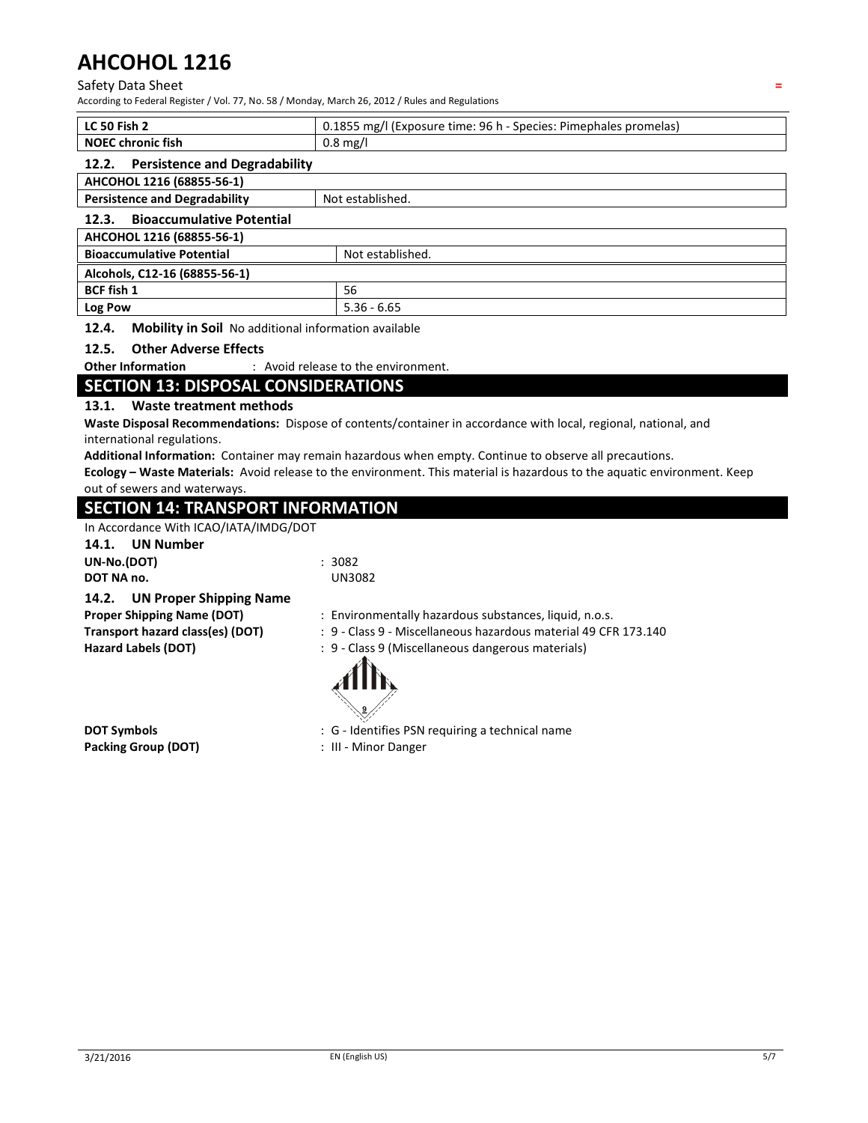#### Safety Data Sheet **=**

According to Federal Register / Vol. 77, No. 58 / Monday, March 26, 2012 / Rules and Regulations

| <b>LC 50 Fish 2</b><br>0.1855 mg/l (Exposure time: 96 h - Species: Pimephales promelas) |                  |  |
|-----------------------------------------------------------------------------------------|------------------|--|
| <b>NOEC chronic fish</b>                                                                | $0.8$ mg/l       |  |
| <b>Persistence and Degradability</b><br>12.2.                                           |                  |  |
| AHCOHOL 1216 (68855-56-1)                                                               |                  |  |
| <b>Persistence and Degradability</b>                                                    | Not established. |  |
| <b>Bioaccumulative Potential</b><br>12.3.                                               |                  |  |
| AHCOHOL 1216 (68855-56-1)                                                               |                  |  |
| <b>Bioaccumulative Potential</b>                                                        | Not established. |  |
| Alcohols, C12-16 (68855-56-1)                                                           |                  |  |
| <b>BCF fish 1</b>                                                                       | 56               |  |
| Log Pow                                                                                 | $5.36 - 6.65$    |  |

**12.4. Mobility in Soil** No additional information available

#### **12.5. Other Adverse Effects**

**Other Information** : Avoid release to the environment.

### **SECTION 13: DISPOSAL CONSIDERATIONS**

#### **13.1. Waste treatment methods**

**Waste Disposal Recommendations:** Dispose of contents/container in accordance with local, regional, national, and international regulations.

**Additional Information:** Container may remain hazardous when empty. Continue to observe all precautions.

**Ecology – Waste Materials:** Avoid release to the environment. This material is hazardous to the aquatic environment. Keep out of sewers and waterways.

### **SECTION 14: TRANSPORT INFORMATION**

In Accordance With ICAO/IATA/IMDG/DOT

#### **14.1. UN Number**

**UN-No.(DOT)** : 3082

**DOT NA no.** UN3082

#### **14.2. UN Proper Shipping Name**

- **Proper Shipping Name (DOT)** : Environmentally hazardous substances, liquid, n.o.s.
- **Transport hazard class(es) (DOT)** : 9 Class 9 Miscellaneous hazardous material 49 CFR 173.140
- **Hazard Labels (DOT)** : 9 Class 9 (Miscellaneous dangerous materials)



**Packing Group (DOT) 1988 111 Minor Danger** 

- **DOT Symbols DOT Symbols : G** Identifies PSN requiring a technical name
	-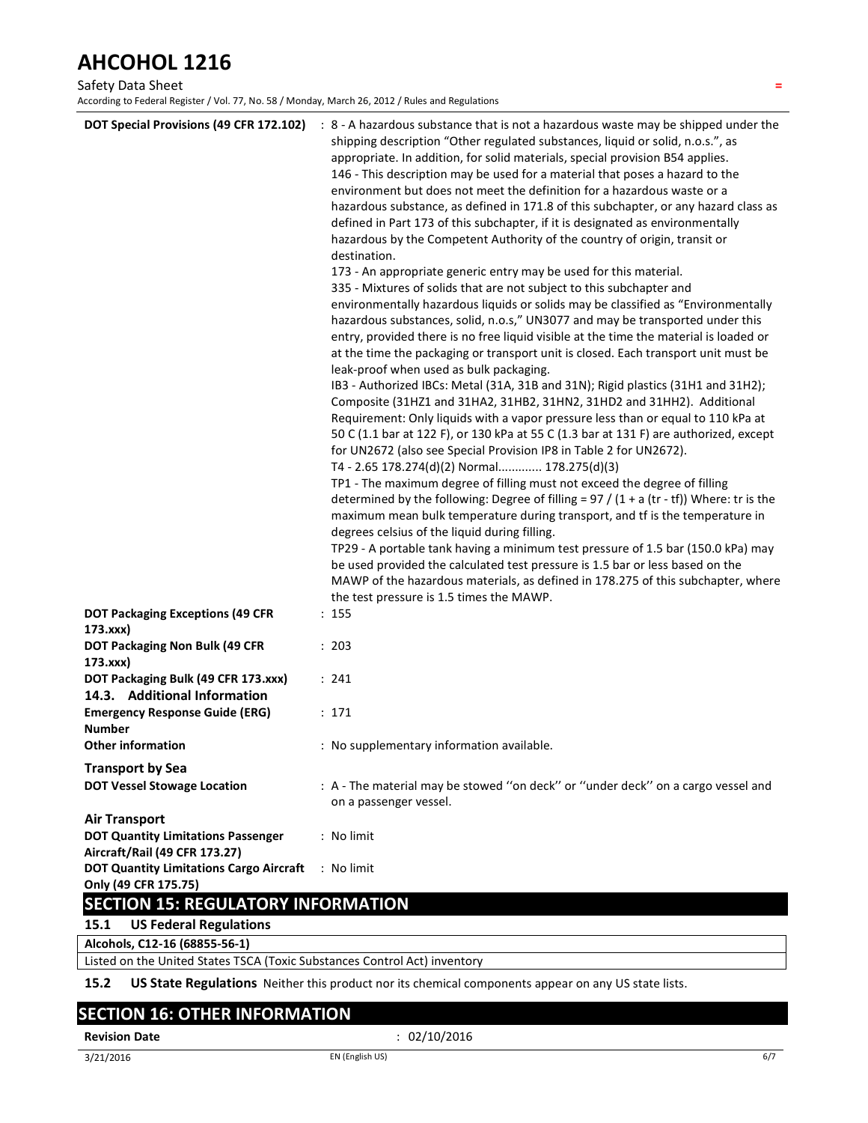### Safety Data Sheet **=**

According to Federal Register / Vol. 77, No. 58 / Monday, March 26, 2012 / Rules and Regulations

| DOT Special Provisions (49 CFR 172.102)                                                            | : 8 - A hazardous substance that is not a hazardous waste may be shipped under the<br>shipping description "Other regulated substances, liquid or solid, n.o.s.", as<br>appropriate. In addition, for solid materials, special provision B54 applies.<br>146 - This description may be used for a material that poses a hazard to the<br>environment but does not meet the definition for a hazardous waste or a<br>hazardous substance, as defined in 171.8 of this subchapter, or any hazard class as<br>defined in Part 173 of this subchapter, if it is designated as environmentally<br>hazardous by the Competent Authority of the country of origin, transit or<br>destination.<br>173 - An appropriate generic entry may be used for this material.<br>335 - Mixtures of solids that are not subject to this subchapter and<br>environmentally hazardous liquids or solids may be classified as "Environmentally<br>hazardous substances, solid, n.o.s," UN3077 and may be transported under this<br>entry, provided there is no free liquid visible at the time the material is loaded or<br>at the time the packaging or transport unit is closed. Each transport unit must be<br>leak-proof when used as bulk packaging.<br>IB3 - Authorized IBCs: Metal (31A, 31B and 31N); Rigid plastics (31H1 and 31H2);<br>Composite (31HZ1 and 31HA2, 31HB2, 31HN2, 31HD2 and 31HH2). Additional<br>Requirement: Only liquids with a vapor pressure less than or equal to 110 kPa at<br>50 C (1.1 bar at 122 F), or 130 kPa at 55 C (1.3 bar at 131 F) are authorized, except<br>for UN2672 (also see Special Provision IP8 in Table 2 for UN2672).<br>T4 - 2.65 178.274(d)(2) Normal 178.275(d)(3)<br>TP1 - The maximum degree of filling must not exceed the degree of filling<br>determined by the following: Degree of filling = $97 / (1 + a (tr - tf))$ Where: tr is the<br>maximum mean bulk temperature during transport, and tf is the temperature in<br>degrees celsius of the liquid during filling.<br>TP29 - A portable tank having a minimum test pressure of 1.5 bar (150.0 kPa) may<br>be used provided the calculated test pressure is 1.5 bar or less based on the<br>MAWP of the hazardous materials, as defined in 178.275 of this subchapter, where |
|----------------------------------------------------------------------------------------------------|---------------------------------------------------------------------------------------------------------------------------------------------------------------------------------------------------------------------------------------------------------------------------------------------------------------------------------------------------------------------------------------------------------------------------------------------------------------------------------------------------------------------------------------------------------------------------------------------------------------------------------------------------------------------------------------------------------------------------------------------------------------------------------------------------------------------------------------------------------------------------------------------------------------------------------------------------------------------------------------------------------------------------------------------------------------------------------------------------------------------------------------------------------------------------------------------------------------------------------------------------------------------------------------------------------------------------------------------------------------------------------------------------------------------------------------------------------------------------------------------------------------------------------------------------------------------------------------------------------------------------------------------------------------------------------------------------------------------------------------------------------------------------------------------------------------------------------------------------------------------------------------------------------------------------------------------------------------------------------------------------------------------------------------------------------------------------------------------------------------------------------------------------------------------------------------------------------------------------------------------------------------------------|
| <b>DOT Packaging Exceptions (49 CFR</b>                                                            | the test pressure is 1.5 times the MAWP.<br>: 155                                                                                                                                                                                                                                                                                                                                                                                                                                                                                                                                                                                                                                                                                                                                                                                                                                                                                                                                                                                                                                                                                                                                                                                                                                                                                                                                                                                                                                                                                                                                                                                                                                                                                                                                                                                                                                                                                                                                                                                                                                                                                                                                                                                                                         |
| 173.xxx)                                                                                           |                                                                                                                                                                                                                                                                                                                                                                                                                                                                                                                                                                                                                                                                                                                                                                                                                                                                                                                                                                                                                                                                                                                                                                                                                                                                                                                                                                                                                                                                                                                                                                                                                                                                                                                                                                                                                                                                                                                                                                                                                                                                                                                                                                                                                                                                           |
| <b>DOT Packaging Non Bulk (49 CFR</b><br>173.xxx)                                                  | : 203                                                                                                                                                                                                                                                                                                                                                                                                                                                                                                                                                                                                                                                                                                                                                                                                                                                                                                                                                                                                                                                                                                                                                                                                                                                                                                                                                                                                                                                                                                                                                                                                                                                                                                                                                                                                                                                                                                                                                                                                                                                                                                                                                                                                                                                                     |
| DOT Packaging Bulk (49 CFR 173.xxx)<br>14.3. Additional Information                                | : 241                                                                                                                                                                                                                                                                                                                                                                                                                                                                                                                                                                                                                                                                                                                                                                                                                                                                                                                                                                                                                                                                                                                                                                                                                                                                                                                                                                                                                                                                                                                                                                                                                                                                                                                                                                                                                                                                                                                                                                                                                                                                                                                                                                                                                                                                     |
| <b>Emergency Response Guide (ERG)</b><br><b>Number</b>                                             | : 171                                                                                                                                                                                                                                                                                                                                                                                                                                                                                                                                                                                                                                                                                                                                                                                                                                                                                                                                                                                                                                                                                                                                                                                                                                                                                                                                                                                                                                                                                                                                                                                                                                                                                                                                                                                                                                                                                                                                                                                                                                                                                                                                                                                                                                                                     |
| <b>Other information</b>                                                                           | : No supplementary information available.                                                                                                                                                                                                                                                                                                                                                                                                                                                                                                                                                                                                                                                                                                                                                                                                                                                                                                                                                                                                                                                                                                                                                                                                                                                                                                                                                                                                                                                                                                                                                                                                                                                                                                                                                                                                                                                                                                                                                                                                                                                                                                                                                                                                                                 |
| <b>Transport by Sea</b>                                                                            |                                                                                                                                                                                                                                                                                                                                                                                                                                                                                                                                                                                                                                                                                                                                                                                                                                                                                                                                                                                                                                                                                                                                                                                                                                                                                                                                                                                                                                                                                                                                                                                                                                                                                                                                                                                                                                                                                                                                                                                                                                                                                                                                                                                                                                                                           |
| <b>DOT Vessel Stowage Location</b>                                                                 | : A - The material may be stowed "on deck" or "under deck" on a cargo vessel and<br>on a passenger vessel.                                                                                                                                                                                                                                                                                                                                                                                                                                                                                                                                                                                                                                                                                                                                                                                                                                                                                                                                                                                                                                                                                                                                                                                                                                                                                                                                                                                                                                                                                                                                                                                                                                                                                                                                                                                                                                                                                                                                                                                                                                                                                                                                                                |
| <b>Air Transport</b><br><b>DOT Quantity Limitations Passenger</b><br>Aircraft/Rail (49 CFR 173.27) | : No limit                                                                                                                                                                                                                                                                                                                                                                                                                                                                                                                                                                                                                                                                                                                                                                                                                                                                                                                                                                                                                                                                                                                                                                                                                                                                                                                                                                                                                                                                                                                                                                                                                                                                                                                                                                                                                                                                                                                                                                                                                                                                                                                                                                                                                                                                |
| <b>DOT Quantity Limitations Cargo Aircraft</b><br>Only (49 CFR 175.75)                             | : No limit                                                                                                                                                                                                                                                                                                                                                                                                                                                                                                                                                                                                                                                                                                                                                                                                                                                                                                                                                                                                                                                                                                                                                                                                                                                                                                                                                                                                                                                                                                                                                                                                                                                                                                                                                                                                                                                                                                                                                                                                                                                                                                                                                                                                                                                                |
| <b>SECTION 15: REGULATORY INFORMATION</b>                                                          |                                                                                                                                                                                                                                                                                                                                                                                                                                                                                                                                                                                                                                                                                                                                                                                                                                                                                                                                                                                                                                                                                                                                                                                                                                                                                                                                                                                                                                                                                                                                                                                                                                                                                                                                                                                                                                                                                                                                                                                                                                                                                                                                                                                                                                                                           |
| <b>US Federal Regulations</b><br>15.1                                                              |                                                                                                                                                                                                                                                                                                                                                                                                                                                                                                                                                                                                                                                                                                                                                                                                                                                                                                                                                                                                                                                                                                                                                                                                                                                                                                                                                                                                                                                                                                                                                                                                                                                                                                                                                                                                                                                                                                                                                                                                                                                                                                                                                                                                                                                                           |

**Alcohols, C12-16 (68855-56-1)** 

Listed on the United States TSCA (Toxic Substances Control Act) inventory

**15.2 US State Regulations** Neither this product nor its chemical components appear on any US state lists.

# **SECTION 16: OTHER INFORMATION**